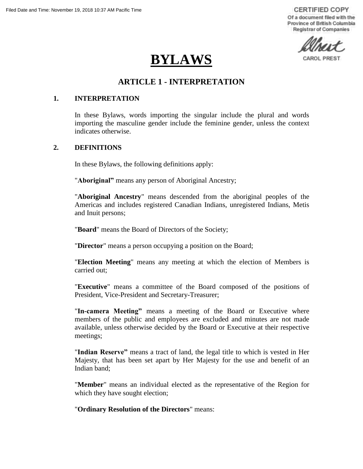**CERTIFIED COPY** Of a document filed with the Province of British Columbia **Registrar of Companies** 

CAROL PRES

# **BYLAWS**

# **ARTICLE 1 - INTERPRETATION**

#### **1. INTERPRETATION**

In these Bylaws, words importing the singular include the plural and words importing the masculine gender include the feminine gender, unless the context indicates otherwise.

#### **2. DEFINITIONS**

In these Bylaws, the following definitions apply:

"**Aboriginal"** means any person of Aboriginal Ancestry;

"**Aboriginal Ancestry**" means descended from the aboriginal peoples of the Americas and includes registered Canadian Indians, unregistered Indians, Metis and Inuit persons;

"**Board**" means the Board of Directors of the Society;

"**Director**" means a person occupying a position on the Board;

"**Election Meeting**" means any meeting at which the election of Members is carried out;

"**Executive**" means a committee of the Board composed of the positions of President, Vice-President and Secretary-Treasurer;

"**In-camera Meeting"** means a meeting of the Board or Executive where members of the public and employees are excluded and minutes are not made available, unless otherwise decided by the Board or Executive at their respective meetings;

"**Indian Reserve"** means a tract of land, the legal title to which is vested in Her Majesty, that has been set apart by Her Majesty for the use and benefit of an Indian band;

"**Member**" means an individual elected as the representative of the Region for which they have sought election;

"**Ordinary Resolution of the Directors**" means: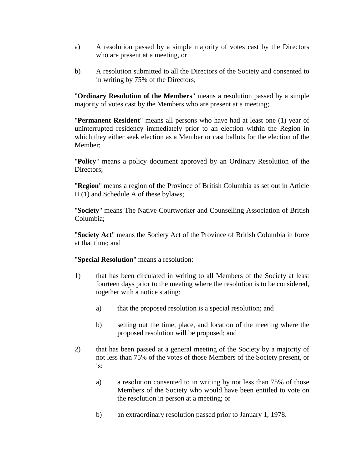- a) A resolution passed by a simple majority of votes cast by the Directors who are present at a meeting, or
- b) A resolution submitted to all the Directors of the Society and consented to in writing by 75% of the Directors;

"**Ordinary Resolution of the Members**" means a resolution passed by a simple majority of votes cast by the Members who are present at a meeting;

"**Permanent Resident**" means all persons who have had at least one (1) year of uninterrupted residency immediately prior to an election within the Region in which they either seek election as a Member or cast ballots for the election of the Member;

"**Policy**" means a policy document approved by an Ordinary Resolution of the Directors;

"**Region**" means a region of the Province of British Columbia as set out in Article II (1) and Schedule A of these bylaws;

"**Society**" means The Native Courtworker and Counselling Association of British Columbia;

"**Society Act**" means the Society Act of the Province of British Columbia in force at that time; and

"**Special Resolution**" means a resolution:

- 1) that has been circulated in writing to all Members of the Society at least fourteen days prior to the meeting where the resolution is to be considered, together with a notice stating:
	- a) that the proposed resolution is a special resolution; and
	- b) setting out the time, place, and location of the meeting where the proposed resolution will be proposed; and
- 2) that has been passed at a general meeting of the Society by a majority of not less than 75% of the votes of those Members of the Society present, or is:
	- a) a resolution consented to in writing by not less than 75% of those Members of the Society who would have been entitled to vote on the resolution in person at a meeting; or
	- b) an extraordinary resolution passed prior to January 1, 1978.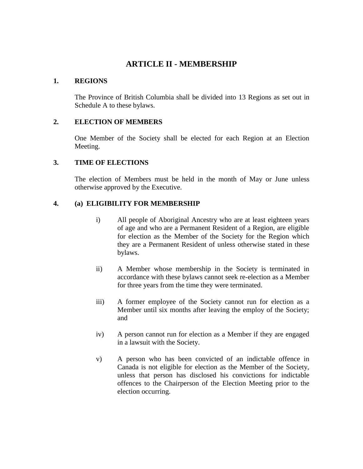# **ARTICLE II - MEMBERSHIP**

#### **1. REGIONS**

The Province of British Columbia shall be divided into 13 Regions as set out in Schedule A to these bylaws.

## **2. ELECTION OF MEMBERS**

One Member of the Society shall be elected for each Region at an Election Meeting.

## **3. TIME OF ELECTIONS**

The election of Members must be held in the month of May or June unless otherwise approved by the Executive.

## **4. (a) ELIGIBILITY FOR MEMBERSHIP**

- i) All people of Aboriginal Ancestry who are at least eighteen years of age and who are a Permanent Resident of a Region, are eligible for election as the Member of the Society for the Region which they are a Permanent Resident of unless otherwise stated in these bylaws.
- ii) A Member whose membership in the Society is terminated in accordance with these bylaws cannot seek re-election as a Member for three years from the time they were terminated.
- iii) A former employee of the Society cannot run for election as a Member until six months after leaving the employ of the Society; and
- iv) A person cannot run for election as a Member if they are engaged in a lawsuit with the Society.
- v) A person who has been convicted of an indictable offence in Canada is not eligible for election as the Member of the Society, unless that person has disclosed his convictions for indictable offences to the Chairperson of the Election Meeting prior to the election occurring.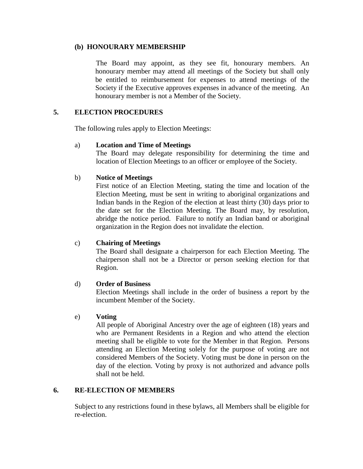#### **(b) HONOURARY MEMBERSHIP**

The Board may appoint, as they see fit, honourary members. An honourary member may attend all meetings of the Society but shall only be entitled to reimbursement for expenses to attend meetings of the Society if the Executive approves expenses in advance of the meeting. An honourary member is not a Member of the Society.

## **5. ELECTION PROCEDURES**

The following rules apply to Election Meetings:

#### a) **Location and Time of Meetings**

The Board may delegate responsibility for determining the time and location of Election Meetings to an officer or employee of the Society.

#### b) **Notice of Meetings**

First notice of an Election Meeting, stating the time and location of the Election Meeting, must be sent in writing to aboriginal organizations and Indian bands in the Region of the election at least thirty (30) days prior to the date set for the Election Meeting. The Board may, by resolution, abridge the notice period. Failure to notify an Indian band or aboriginal organization in the Region does not invalidate the election.

#### c) **Chairing of Meetings**

The Board shall designate a chairperson for each Election Meeting. The chairperson shall not be a Director or person seeking election for that Region.

#### d) **Order of Business**

Election Meetings shall include in the order of business a report by the incumbent Member of the Society.

#### e) **Voting**

All people of Aboriginal Ancestry over the age of eighteen (18) years and who are Permanent Residents in a Region and who attend the election meeting shall be eligible to vote for the Member in that Region. Persons attending an Election Meeting solely for the purpose of voting are not considered Members of the Society. Voting must be done in person on the day of the election. Voting by proxy is not authorized and advance polls shall not be held.

#### **6. RE-ELECTION OF MEMBERS**

Subject to any restrictions found in these bylaws, all Members shall be eligible for re-election.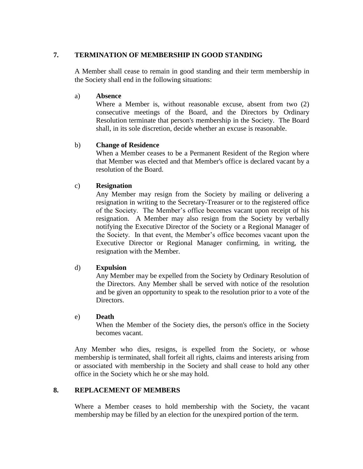## **7. TERMINATION OF MEMBERSHIP IN GOOD STANDING**

A Member shall cease to remain in good standing and their term membership in the Society shall end in the following situations:

#### a) **Absence**

Where a Member is, without reasonable excuse, absent from two (2) consecutive meetings of the Board, and the Directors by Ordinary Resolution terminate that person's membership in the Society. The Board shall, in its sole discretion, decide whether an excuse is reasonable.

## b) **Change of Residence**

When a Member ceases to be a Permanent Resident of the Region where that Member was elected and that Member's office is declared vacant by a resolution of the Board.

#### c) **Resignation**

Any Member may resign from the Society by mailing or delivering a resignation in writing to the Secretary-Treasurer or to the registered office of the Society. The Member's office becomes vacant upon receipt of his resignation. A Member may also resign from the Society by verbally notifying the Executive Director of the Society or a Regional Manager of the Society. In that event, the Member's office becomes vacant upon the Executive Director or Regional Manager confirming, in writing, the resignation with the Member.

#### d) **Expulsion**

Any Member may be expelled from the Society by Ordinary Resolution of the Directors. Any Member shall be served with notice of the resolution and be given an opportunity to speak to the resolution prior to a vote of the Directors.

#### e) **Death**

When the Member of the Society dies, the person's office in the Society becomes vacant.

Any Member who dies, resigns, is expelled from the Society, or whose membership is terminated, shall forfeit all rights, claims and interests arising from or associated with membership in the Society and shall cease to hold any other office in the Society which he or she may hold.

#### **8. REPLACEMENT OF MEMBERS**

Where a Member ceases to hold membership with the Society, the vacant membership may be filled by an election for the unexpired portion of the term.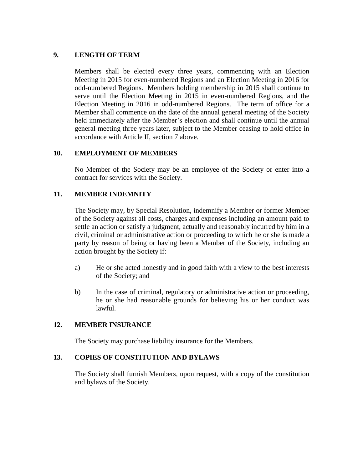## **9. LENGTH OF TERM**

Members shall be elected every three years, commencing with an Election Meeting in 2015 for even-numbered Regions and an Election Meeting in 2016 for odd-numbered Regions. Members holding membership in 2015 shall continue to serve until the Election Meeting in 2015 in even-numbered Regions, and the Election Meeting in 2016 in odd-numbered Regions. The term of office for a Member shall commence on the date of the annual general meeting of the Society held immediately after the Member's election and shall continue until the annual general meeting three years later, subject to the Member ceasing to hold office in accordance with Article II, section 7 above.

## **10. EMPLOYMENT OF MEMBERS**

No Member of the Society may be an employee of the Society or enter into a contract for services with the Society.

## **11. MEMBER INDEMNITY**

The Society may, by Special Resolution, indemnify a Member or former Member of the Society against all costs, charges and expenses including an amount paid to settle an action or satisfy a judgment, actually and reasonably incurred by him in a civil, criminal or administrative action or proceeding to which he or she is made a party by reason of being or having been a Member of the Society, including an action brought by the Society if:

- a) He or she acted honestly and in good faith with a view to the best interests of the Society; and
- b) In the case of criminal, regulatory or administrative action or proceeding, he or she had reasonable grounds for believing his or her conduct was lawful.

#### **12. MEMBER INSURANCE**

The Society may purchase liability insurance for the Members.

#### **13. COPIES OF CONSTITUTION AND BYLAWS**

The Society shall furnish Members, upon request, with a copy of the constitution and bylaws of the Society.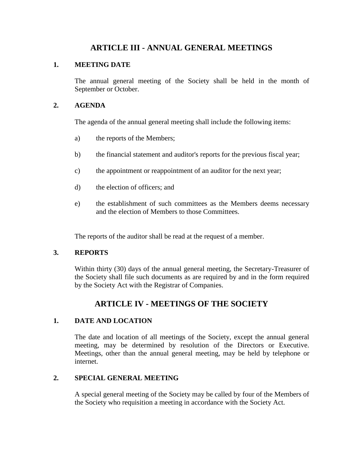## **ARTICLE III - ANNUAL GENERAL MEETINGS**

#### **1. MEETING DATE**

The annual general meeting of the Society shall be held in the month of September or October.

## **2. AGENDA**

The agenda of the annual general meeting shall include the following items:

- a) the reports of the Members;
- b) the financial statement and auditor's reports for the previous fiscal year;
- c) the appointment or reappointment of an auditor for the next year;
- d) the election of officers; and
- e) the establishment of such committees as the Members deems necessary and the election of Members to those Committees.

The reports of the auditor shall be read at the request of a member.

## **3. REPORTS**

Within thirty (30) days of the annual general meeting, the Secretary-Treasurer of the Society shall file such documents as are required by and in the form required by the Society Act with the Registrar of Companies.

# **ARTICLE IV - MEETINGS OF THE SOCIETY**

## **1. DATE AND LOCATION**

The date and location of all meetings of the Society, except the annual general meeting, may be determined by resolution of the Directors or Executive. Meetings, other than the annual general meeting, may be held by telephone or internet.

## **2. SPECIAL GENERAL MEETING**

A special general meeting of the Society may be called by four of the Members of the Society who requisition a meeting in accordance with the Society Act.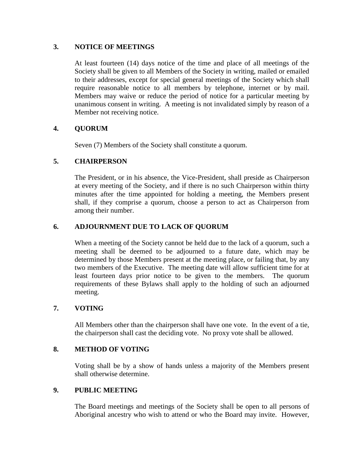#### **3. NOTICE OF MEETINGS**

At least fourteen (14) days notice of the time and place of all meetings of the Society shall be given to all Members of the Society in writing, mailed or emailed to their addresses, except for special general meetings of the Society which shall require reasonable notice to all members by telephone, internet or by mail. Members may waive or reduce the period of notice for a particular meeting by unanimous consent in writing. A meeting is not invalidated simply by reason of a Member not receiving notice.

## **4. QUORUM**

Seven (7) Members of the Society shall constitute a quorum.

## **5. CHAIRPERSON**

The President, or in his absence, the Vice-President, shall preside as Chairperson at every meeting of the Society, and if there is no such Chairperson within thirty minutes after the time appointed for holding a meeting, the Members present shall, if they comprise a quorum, choose a person to act as Chairperson from among their number.

## **6. ADJOURNMENT DUE TO LACK OF QUORUM**

When a meeting of the Society cannot be held due to the lack of a quorum, such a meeting shall be deemed to be adjourned to a future date, which may be determined by those Members present at the meeting place, or failing that, by any two members of the Executive. The meeting date will allow sufficient time for at least fourteen days prior notice to be given to the members. The quorum requirements of these Bylaws shall apply to the holding of such an adjourned meeting.

#### **7. VOTING**

All Members other than the chairperson shall have one vote. In the event of a tie, the chairperson shall cast the deciding vote. No proxy vote shall be allowed.

#### **8. METHOD OF VOTING**

Voting shall be by a show of hands unless a majority of the Members present shall otherwise determine.

#### **9. PUBLIC MEETING**

The Board meetings and meetings of the Society shall be open to all persons of Aboriginal ancestry who wish to attend or who the Board may invite. However,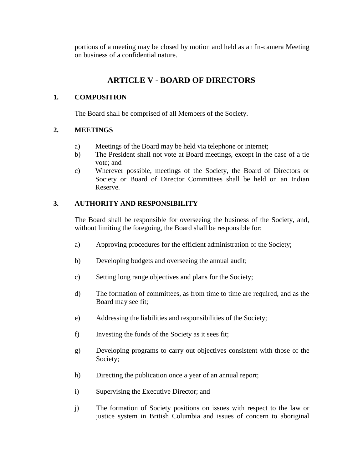portions of a meeting may be closed by motion and held as an In-camera Meeting on business of a confidential nature.

# **ARTICLE V - BOARD OF DIRECTORS**

## **1. COMPOSITION**

The Board shall be comprised of all Members of the Society.

## **2. MEETINGS**

- a) Meetings of the Board may be held via telephone or internet;
- b) The President shall not vote at Board meetings, except in the case of a tie vote; and
- c) Wherever possible, meetings of the Society, the Board of Directors or Society or Board of Director Committees shall be held on an Indian Reserve.

## **3. AUTHORITY AND RESPONSIBILITY**

The Board shall be responsible for overseeing the business of the Society, and, without limiting the foregoing, the Board shall be responsible for:

- a) Approving procedures for the efficient administration of the Society;
- b) Developing budgets and overseeing the annual audit;
- c) Setting long range objectives and plans for the Society;
- d) The formation of committees, as from time to time are required, and as the Board may see fit;
- e) Addressing the liabilities and responsibilities of the Society;
- f) Investing the funds of the Society as it sees fit;
- g) Developing programs to carry out objectives consistent with those of the Society;
- h) Directing the publication once a year of an annual report;
- i) Supervising the Executive Director; and
- j) The formation of Society positions on issues with respect to the law or justice system in British Columbia and issues of concern to aboriginal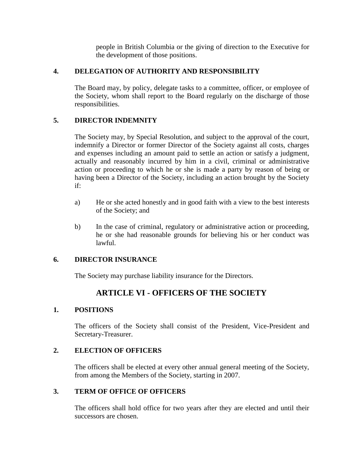people in British Columbia or the giving of direction to the Executive for the development of those positions.

## **4. DELEGATION OF AUTHORITY AND RESPONSIBILITY**

The Board may, by policy, delegate tasks to a committee, officer, or employee of the Society, whom shall report to the Board regularly on the discharge of those responsibilities.

## **5. DIRECTOR INDEMNITY**

The Society may, by Special Resolution, and subject to the approval of the court, indemnify a Director or former Director of the Society against all costs, charges and expenses including an amount paid to settle an action or satisfy a judgment, actually and reasonably incurred by him in a civil, criminal or administrative action or proceeding to which he or she is made a party by reason of being or having been a Director of the Society, including an action brought by the Society if:

- a) He or she acted honestly and in good faith with a view to the best interests of the Society; and
- b) In the case of criminal, regulatory or administrative action or proceeding, he or she had reasonable grounds for believing his or her conduct was lawful.

## **6. DIRECTOR INSURANCE**

The Society may purchase liability insurance for the Directors.

# **ARTICLE VI - OFFICERS OF THE SOCIETY**

## **1. POSITIONS**

The officers of the Society shall consist of the President, Vice-President and Secretary-Treasurer.

## **2. ELECTION OF OFFICERS**

The officers shall be elected at every other annual general meeting of the Society, from among the Members of the Society, starting in 2007.

#### **3. TERM OF OFFICE OF OFFICERS**

The officers shall hold office for two years after they are elected and until their successors are chosen.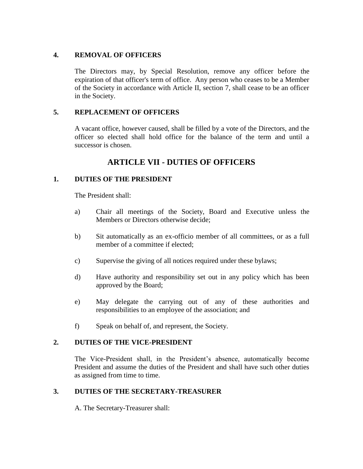## **4. REMOVAL OF OFFICERS**

The Directors may, by Special Resolution, remove any officer before the expiration of that officer's term of office. Any person who ceases to be a Member of the Society in accordance with Article II, section 7, shall cease to be an officer in the Society.

## **5. REPLACEMENT OF OFFICERS**

A vacant office, however caused, shall be filled by a vote of the Directors, and the officer so elected shall hold office for the balance of the term and until a successor is chosen.

# **ARTICLE VII - DUTIES OF OFFICERS**

## **1. DUTIES OF THE PRESIDENT**

The President shall:

- a) Chair all meetings of the Society, Board and Executive unless the Members or Directors otherwise decide;
- b) Sit automatically as an ex-officio member of all committees, or as a full member of a committee if elected;
- c) Supervise the giving of all notices required under these bylaws;
- d) Have authority and responsibility set out in any policy which has been approved by the Board;
- e) May delegate the carrying out of any of these authorities and responsibilities to an employee of the association; and
- f) Speak on behalf of, and represent, the Society.

## **2. DUTIES OF THE VICE-PRESIDENT**

The Vice-President shall, in the President's absence, automatically become President and assume the duties of the President and shall have such other duties as assigned from time to time.

## **3. DUTIES OF THE SECRETARY-TREASURER**

A. The Secretary-Treasurer shall: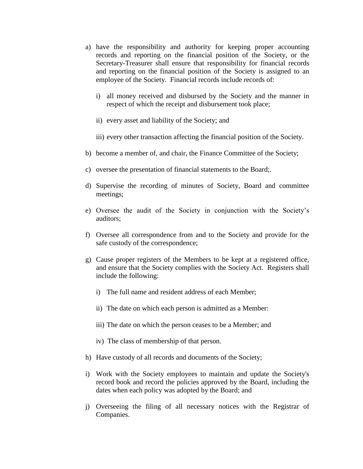- a) have the responsibility and authority for keeping proper accounting records and reporting on the financial position of the Society, or the Secretary-Treasurer shall ensure that responsibility for financial records and reporting on the financial position of the Society is assigned to an employee of the Society. Financial records include records of:
	- i) all money received and disbursed by the Society and the manner in respect of which the receipt and disbursement took place;
	- ii) every asset and liability of the Society; and
	- iii) every other transaction affecting the financial position of the Society.
- b) become a member of, and chair, the Finance Committee of the Society;
- c) oversee the presentation of financial statements to the Board;.
- d) Supervise the recording of minutes of Society, Board and committee meetings;
- e) Oversee the audit of the Society in conjunction with the Society's auditors;
- f) Oversee all correspondence from and to the Society and provide for the safe custody of the correspondence;
- g) Cause proper registers of the Members to be kept at a registered office, and ensure that the Society complies with the Society Act. Registers shall include the following:
	- i) The full name and resident address of each Member;
	- ii) The date on which each person is admitted as a Member:
	- iii) The date on which the person ceases to be a Member; and
	- iv) The class of membership of that person.
- h) Have custody of all records and documents of the Society;
- i) Work with the Society employees to maintain and update the Society's record book and record the policies approved by the Board, including the dates when each policy was adopted by the Board; and
- j) Overseeing the filing of all necessary notices with the Registrar of Companies.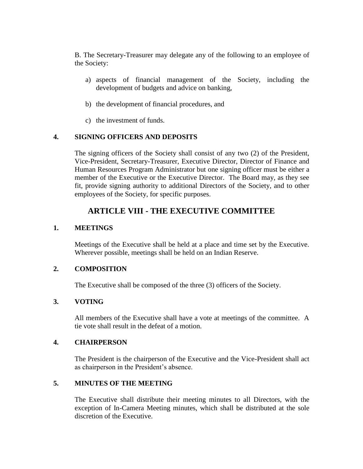B. The Secretary-Treasurer may delegate any of the following to an employee of the Society:

- a) aspects of financial management of the Society, including the development of budgets and advice on banking,
- b) the development of financial procedures, and
- c) the investment of funds.

## **4. SIGNING OFFICERS AND DEPOSITS**

The signing officers of the Society shall consist of any two (2) of the President, Vice-President, Secretary-Treasurer, Executive Director, Director of Finance and Human Resources Program Administrator but one signing officer must be either a member of the Executive or the Executive Director. The Board may, as they see fit, provide signing authority to additional Directors of the Society, and to other employees of the Society, for specific purposes.

# **ARTICLE VIII - THE EXECUTIVE COMMITTEE**

## **1. MEETINGS**

Meetings of the Executive shall be held at a place and time set by the Executive. Wherever possible, meetings shall be held on an Indian Reserve.

#### **2. COMPOSITION**

The Executive shall be composed of the three (3) officers of the Society.

#### **3. VOTING**

All members of the Executive shall have a vote at meetings of the committee. A tie vote shall result in the defeat of a motion.

#### **4. CHAIRPERSON**

The President is the chairperson of the Executive and the Vice-President shall act as chairperson in the President's absence.

#### **5. MINUTES OF THE MEETING**

The Executive shall distribute their meeting minutes to all Directors, with the exception of In-Camera Meeting minutes, which shall be distributed at the sole discretion of the Executive.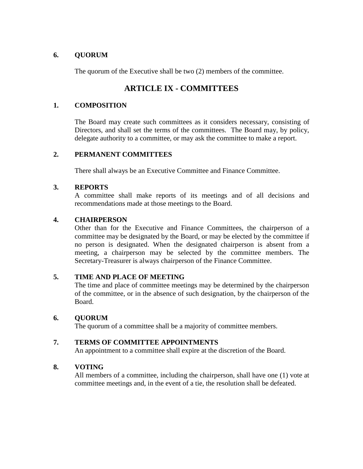## **6. QUORUM**

The quorum of the Executive shall be two (2) members of the committee.

# **ARTICLE IX - COMMITTEES**

## **1. COMPOSITION**

The Board may create such committees as it considers necessary, consisting of Directors, and shall set the terms of the committees. The Board may, by policy, delegate authority to a committee, or may ask the committee to make a report.

## **2. PERMANENT COMMITTEES**

There shall always be an Executive Committee and Finance Committee.

## **3. REPORTS**

A committee shall make reports of its meetings and of all decisions and recommendations made at those meetings to the Board.

## **4. CHAIRPERSON**

Other than for the Executive and Finance Committees, the chairperson of a committee may be designated by the Board, or may be elected by the committee if no person is designated. When the designated chairperson is absent from a meeting, a chairperson may be selected by the committee members. The Secretary-Treasurer is always chairperson of the Finance Committee.

#### **5. TIME AND PLACE OF MEETING**

The time and place of committee meetings may be determined by the chairperson of the committee, or in the absence of such designation, by the chairperson of the Board.

#### **6. QUORUM**

The quorum of a committee shall be a majority of committee members.

## **7. TERMS OF COMMITTEE APPOINTMENTS**

An appointment to a committee shall expire at the discretion of the Board.

## **8. VOTING**

All members of a committee, including the chairperson, shall have one (1) vote at committee meetings and, in the event of a tie, the resolution shall be defeated.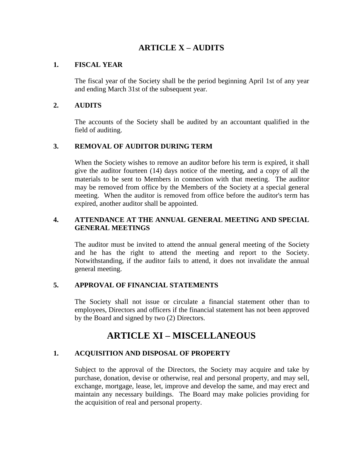# **ARTICLE X – AUDITS**

## **1. FISCAL YEAR**

The fiscal year of the Society shall be the period beginning April 1st of any year and ending March 31st of the subsequent year.

## **2. AUDITS**

The accounts of the Society shall be audited by an accountant qualified in the field of auditing.

## **3. REMOVAL OF AUDITOR DURING TERM**

When the Society wishes to remove an auditor before his term is expired, it shall give the auditor fourteen (14) days notice of the meeting, and a copy of all the materials to be sent to Members in connection with that meeting. The auditor may be removed from office by the Members of the Society at a special general meeting. When the auditor is removed from office before the auditor's term has expired, another auditor shall be appointed.

## **4. ATTENDANCE AT THE ANNUAL GENERAL MEETING AND SPECIAL GENERAL MEETINGS**

The auditor must be invited to attend the annual general meeting of the Society and he has the right to attend the meeting and report to the Society. Notwithstanding, if the auditor fails to attend, it does not invalidate the annual general meeting.

## **5. APPROVAL OF FINANCIAL STATEMENTS**

The Society shall not issue or circulate a financial statement other than to employees, Directors and officers if the financial statement has not been approved by the Board and signed by two (2) Directors.

# **ARTICLE XI – MISCELLANEOUS**

## **1. ACQUISITION AND DISPOSAL OF PROPERTY**

Subject to the approval of the Directors, the Society may acquire and take by purchase, donation, devise or otherwise, real and personal property, and may sell, exchange, mortgage, lease, let, improve and develop the same, and may erect and maintain any necessary buildings. The Board may make policies providing for the acquisition of real and personal property.